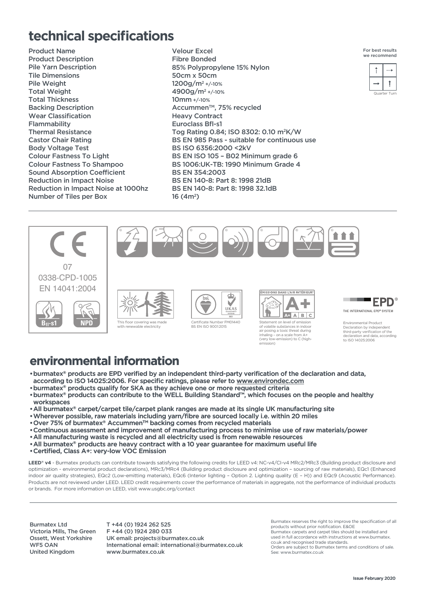## **technical specifications**

Product Name Product Description Pile Yarn Description Tile Dimensions Pile Weight Total Weight Total Thickness Backing Description Wear Classification Flammability Thermal Resistance Castor Chair Rating Body Voltage Test Colour Fastness To Light Colour Fastness To Shampoo Sound Absorption Coefficient Reduction in Impact Noise Reduction in Impact Noise at 1000hz Number of Tiles per Box

Velour Excel Fibre Bonded 85% Polypropylene 15% Nylon 50cm x 50cm 1200g/m2 +/-10% 4900g/m2 +/-10% 10mm +/-10% Accummen<sup>™</sup>, 75% recycled Heavy Contract Euroclass Bfl-s1 Tog Rating 0.84; ISO 8302: 0.10 m2K/W BS EN 985 Pass - suitable for continuous use BS ISO 6356:2000 <2kV BS EN ISO 105 – B02 Minimum grade 6 BS 1006:UK-TB: 1990 Minimum Grade 4 BS EN 354:2003 BS EN 140-8: Part 8: 1998 21dB BS EN 140-8: Part 8: 1998 32.1dB 16 (4m2)

(very low-emission) to C (high-

emission)



| ÷. | F |  |
|----|---|--|
| ÷  |   |  |
|    |   |  |



## **environmental information**

- •burmatex® products are EPD verified by an independent third-party verification of the declaration and data, according to ISO 14025:2006. For specific ratings, please refer to www.environdec.com
- •burmatex® products qualify for SKA as they achieve one or more requested criteria
- •burmatex® products can contribute to the WELL Building Standard™, which focuses on the people and healthy workspaces
- •All burmatex® carpet/carpet tile/carpet plank ranges are made at its single UK manufacturing site
- •Wherever possible, raw materials including yarn/fibre are sourced locally i.e. within 20 miles
- •Over 75% of burmatex® AccummenTM backing comes from recycled materials
- •Continuous assessment and improvement of manufacturing process to minimise use of raw materials/power
- •All manufacturing waste is recycled and all electricity used is from renewable resources
- •All burmatex® products are heavy contract with a 10 year guarantee for maximum useful life
- •Certified, Class A+: very-low VOC Emission

LEED<sup>®</sup> v4 - Burmatex products can contribute towards satisfying the following credits for LEED v4: NC-v4/CI-v4 MRc2/MRc3 (Building product disclosure and optimization - environmental product declarations), MRc3/MRc4 (Building product disclosure and optimization – sourcing of raw materials), EQc1 (Enhanced indoor air quality strategies), EQc2 (Low-emitting materials), EQc6 (Interior lighting – Option 2. Lighting quality (E – H)) and EQc9 (Acoustic Performance). Products are not reviewed under LEED. LEED credit requirements cover the performance of materials in aggregate, not the performance of individual products or brands. For more information on LEED, visit www.usgbc.org/contact

Burmatex Ltd Victoria Mills, The Green Ossett, West Yorkshire WF5 OAN United Kingdom

T +44 (0) 1924 262 525 F +44 (0) 1924 280 033 UK email: projects@burmatex.co.uk International email: international@burmatex.co.uk www.burmatex.co.uk

Burmatex reserves the right to improve the specification of all products without prior notification. E&OE Burmatex carpets and carpet tiles should be installed and used in full accordance with instructions at www.burmatex. co.uk and recognised trade standards. Orders are subject to Burmatex terms and conditions of sale. See: www.burmatex.co.uk



Environmental Product Declaration by independent third-party verification of the .<br>ration and data, according to ISO 14025:2006